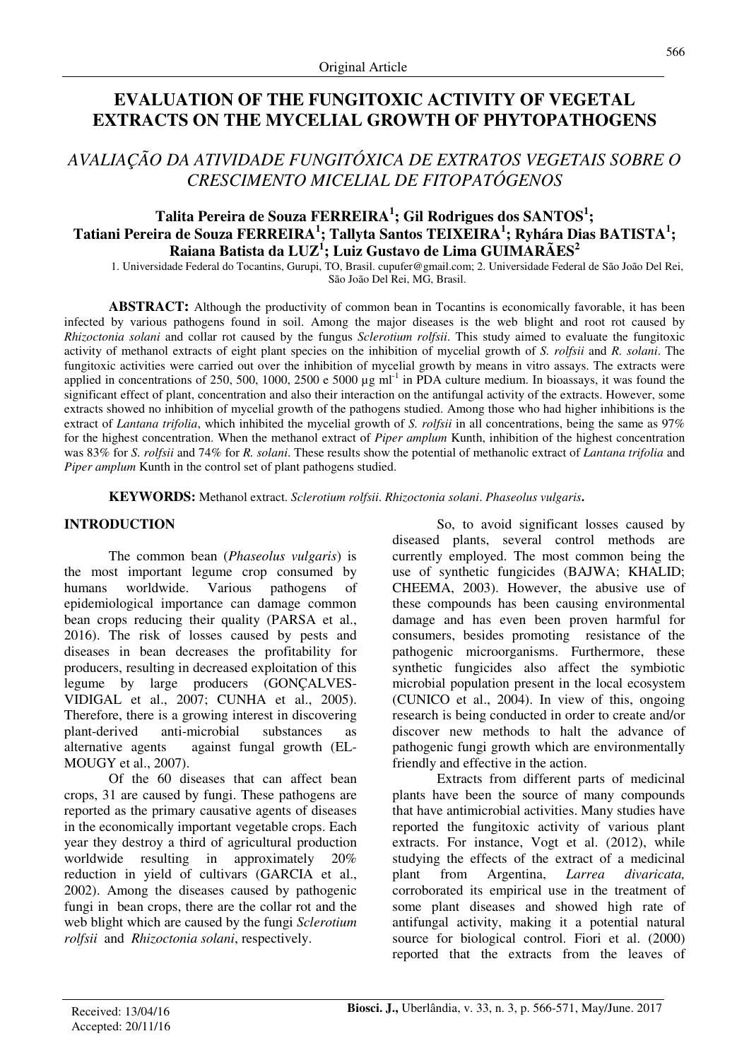# **EVALUATION OF THE FUNGITOXIC ACTIVITY OF VEGETAL EXTRACTS ON THE MYCELIAL GROWTH OF PHYTOPATHOGENS**

## *AVALIAÇÃO DA ATIVIDADE FUNGITÓXICA DE EXTRATOS VEGETAIS SOBRE O CRESCIMENTO MICELIAL DE FITOPATÓGENOS*

## **Talita Pereira de Souza FERREIRA<sup>1</sup> ; Gil Rodrigues dos SANTOS<sup>1</sup> ; Tatiani Pereira de Souza FERREIRA<sup>1</sup> ; Tallyta Santos TEIXEIRA<sup>1</sup> ; Ryhára Dias BATISTA<sup>1</sup> ; Raiana Batista da LUZ<sup>1</sup> ; Luiz Gustavo de Lima GUIMARÃES<sup>2</sup>**

1. Universidade Federal do Tocantins, Gurupi, TO, Brasil. cupufer@gmail.com; 2. Universidade Federal de São João Del Rei, São João Del Rei, MG, Brasil.

**ABSTRACT:** Although the productivity of common bean in Tocantins is economically favorable, it has been infected by various pathogens found in soil. Among the major diseases is the web blight and root rot caused by *Rhizoctonia solani* and collar rot caused by the fungus *Sclerotium rolfsii*. This study aimed to evaluate the fungitoxic activity of methanol extracts of eight plant species on the inhibition of mycelial growth of *S. rolfsii* and *R. solani*. The fungitoxic activities were carried out over the inhibition of mycelial growth by means in vitro assays. The extracts were applied in concentrations of 250, 500, 1000, 2500 e 5000  $\mu$ g ml<sup>-1</sup> in PDA culture medium. In bioassays, it was found the significant effect of plant, concentration and also their interaction on the antifungal activity of the extracts. However, some extracts showed no inhibition of mycelial growth of the pathogens studied. Among those who had higher inhibitions is the extract of *Lantana trifolia*, which inhibited the mycelial growth of *S. rolfsii* in all concentrations, being the same as 97% for the highest concentration. When the methanol extract of *Piper amplum* Kunth, inhibition of the highest concentration was 83% for *S. rolfsii* and 74% for *R. solani*. These results show the potential of methanolic extract of *Lantana trifolia* and *Piper amplum* Kunth in the control set of plant pathogens studied.

**KEYWORDS:** Methanol extract. *Sclerotium rolfsii*. *Rhizoctonia solani*. *Phaseolus vulgaris***.** 

#### **INTRODUCTION**

The common bean (*Phaseolus vulgaris*) is the most important legume crop consumed by humans worldwide. Various pathogens of epidemiological importance can damage common bean crops reducing their quality (PARSA et al., 2016). The risk of losses caused by pests and diseases in bean decreases the profitability for producers, resulting in decreased exploitation of this legume by large producers (GONÇALVES-VIDIGAL et al., 2007; CUNHA et al., 2005). Therefore, there is a growing interest in discovering plant-derived anti-microbial substances as alternative agents against fungal growth (EL-MOUGY et al., 2007).

Of the 60 diseases that can affect bean crops, 31 are caused by fungi. These pathogens are reported as the primary causative agents of diseases in the economically important vegetable crops. Each year they destroy a third of agricultural production worldwide resulting in approximately 20% reduction in yield of cultivars (GARCIA et al., 2002). Among the diseases caused by pathogenic fungi in bean crops, there are the collar rot and the web blight which are caused by the fungi *Sclerotium rolfsii* and *Rhizoctonia solani*, respectively.

So, to avoid significant losses caused by diseased plants, several control methods are currently employed. The most common being the use of synthetic fungicides (BAJWA; KHALID; CHEEMA, 2003). However, the abusive use of these compounds has been causing environmental damage and has even been proven harmful for consumers, besides promoting resistance of the pathogenic microorganisms. Furthermore, these synthetic fungicides also affect the symbiotic microbial population present in the local ecosystem (CUNICO et al., 2004). In view of this, ongoing research is being conducted in order to create and/or discover new methods to halt the advance of pathogenic fungi growth which are environmentally friendly and effective in the action.

Extracts from different parts of medicinal plants have been the source of many compounds that have antimicrobial activities. Many studies have reported the fungitoxic activity of various plant extracts. For instance, Vogt et al. (2012), while studying the effects of the extract of a medicinal plant from Argentina, *Larrea divaricata,* corroborated its empirical use in the treatment of some plant diseases and showed high rate of antifungal activity, making it a potential natural source for biological control. Fiori et al. (2000) reported that the extracts from the leaves of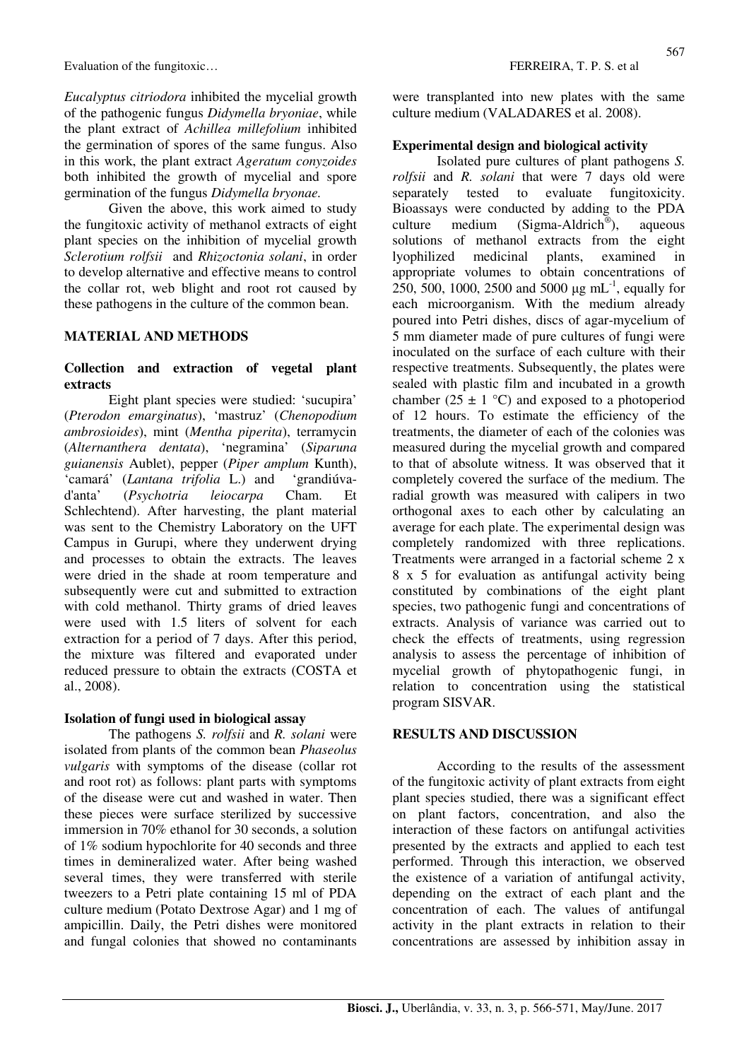Evaluation of the fungitoxic… FERREIRA, T. P. S. et al.

*Eucalyptus citriodora* inhibited the mycelial growth of the pathogenic fungus *Didymella bryoniae*, while the plant extract of *Achillea millefolium* inhibited the germination of spores of the same fungus. Also in this work, the plant extract *Ageratum conyzoides* both inhibited the growth of mycelial and spore germination of the fungus *Didymella bryonae.*

Given the above, this work aimed to study the fungitoxic activity of methanol extracts of eight plant species on the inhibition of mycelial growth *Sclerotium rolfsii* and *Rhizoctonia solani*, in order to develop alternative and effective means to control the collar rot, web blight and root rot caused by these pathogens in the culture of the common bean.

#### **MATERIAL AND METHODS**

#### **Collection and extraction of vegetal plant extracts**

Eight plant species were studied: 'sucupira' (*Pterodon emarginatus*), 'mastruz' (*Chenopodium ambrosioides*), mint (*Mentha piperita*), terramycin (*Alternanthera dentata*), 'negramina' (*Siparuna guianensis* Aublet), pepper (*Piper amplum* Kunth), 'camará' (*Lantana trifolia* L.) and 'grandiúvad'anta' (*Psychotria leiocarpa* Cham. Et Schlechtend). After harvesting, the plant material was sent to the Chemistry Laboratory on the UFT Campus in Gurupi, where they underwent drying and processes to obtain the extracts. The leaves were dried in the shade at room temperature and subsequently were cut and submitted to extraction with cold methanol. Thirty grams of dried leaves were used with 1.5 liters of solvent for each extraction for a period of 7 days. After this period, the mixture was filtered and evaporated under reduced pressure to obtain the extracts (COSTA et al., 2008).

#### **Isolation of fungi used in biological assay**

The pathogens *S. rolfsii* and *R. solani* were isolated from plants of the common bean *Phaseolus vulgaris* with symptoms of the disease (collar rot and root rot) as follows: plant parts with symptoms of the disease were cut and washed in water. Then these pieces were surface sterilized by successive immersion in 70% ethanol for 30 seconds, a solution of 1% sodium hypochlorite for 40 seconds and three times in demineralized water. After being washed several times, they were transferred with sterile tweezers to a Petri plate containing 15 ml of PDA culture medium (Potato Dextrose Agar) and 1 mg of ampicillin. Daily, the Petri dishes were monitored and fungal colonies that showed no contaminants were transplanted into new plates with the same culture medium (VALADARES et al. 2008).

#### **Experimental design and biological activity**

Isolated pure cultures of plant pathogens *S. rolfsii* and *R. solani* that were 7 days old were separately tested to evaluate fungitoxicity. Bioassays were conducted by adding to the PDA culture medium  $(Sigma-Aldrich^{\circledast})$ , ), aqueous solutions of methanol extracts from the eight lyophilized medicinal plants, examined in appropriate volumes to obtain concentrations of 250, 500, 1000, 2500 and 5000  $\mu$ g mL<sup>-1</sup>, equally for each microorganism. With the medium already poured into Petri dishes, discs of agar-mycelium of 5 mm diameter made of pure cultures of fungi were inoculated on the surface of each culture with their respective treatments. Subsequently, the plates were sealed with plastic film and incubated in a growth chamber (25  $\pm$  1 °C) and exposed to a photoperiod of 12 hours. To estimate the efficiency of the treatments, the diameter of each of the colonies was measured during the mycelial growth and compared to that of absolute witness. It was observed that it completely covered the surface of the medium. The radial growth was measured with calipers in two orthogonal axes to each other by calculating an average for each plate. The experimental design was completely randomized with three replications. Treatments were arranged in a factorial scheme 2 x 8 x 5 for evaluation as antifungal activity being constituted by combinations of the eight plant species, two pathogenic fungi and concentrations of extracts. Analysis of variance was carried out to check the effects of treatments, using regression analysis to assess the percentage of inhibition of mycelial growth of phytopathogenic fungi, in relation to concentration using the statistical program SISVAR.

#### **RESULTS AND DISCUSSION**

According to the results of the assessment of the fungitoxic activity of plant extracts from eight plant species studied, there was a significant effect on plant factors, concentration, and also the interaction of these factors on antifungal activities presented by the extracts and applied to each test performed. Through this interaction, we observed the existence of a variation of antifungal activity, depending on the extract of each plant and the concentration of each. The values of antifungal activity in the plant extracts in relation to their concentrations are assessed by inhibition assay in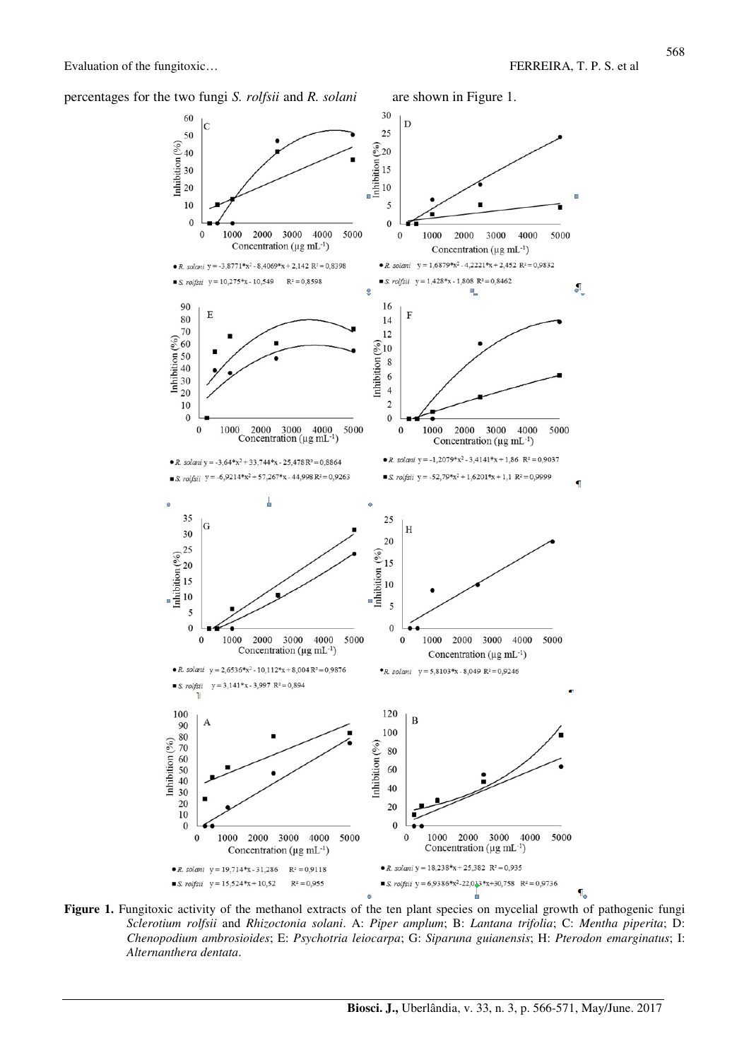percentages for the two fungi *S. rolfsii* and *R. solani* are shown in Figure 1.



Figure 1. Fungitoxic activity of the methanol extracts of the ten plant species on mycelial growth of pathogenic fungi *Sclerotium rolfsii* and *Rhizoctonia solani*. A: *Piper amplum*; B: *Lantana trifolia*; C: *Mentha piperita*; D: *Chenopodium ambrosioides*; E: *Psychotria leiocarpa*; G: *Siparuna guianensis*; H: *Pterodon emarginatus*; I: *Alternanthera dentata*.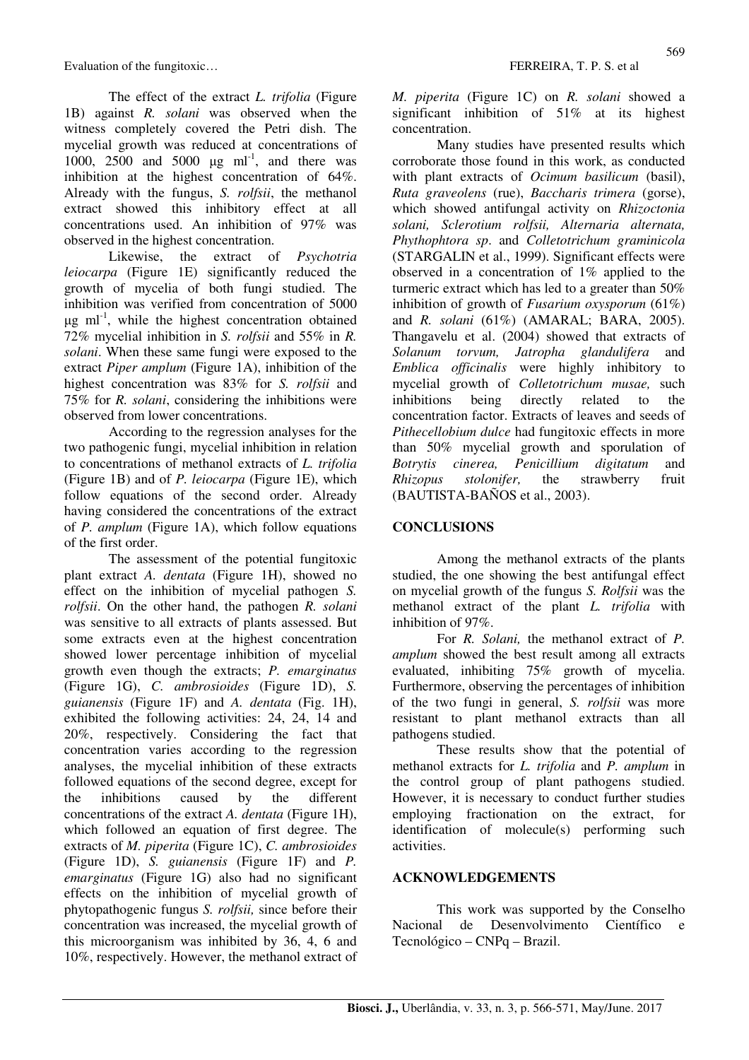Evaluation of the fungitoxic… FERREIRA, T. P. S. et al.

The effect of the extract *L. trifolia* (Figure 1B) against *R. solani* was observed when the witness completely covered the Petri dish. The mycelial growth was reduced at concentrations of 1000, 2500 and 5000  $\mu$ g ml<sup>-1</sup>, and there was inhibition at the highest concentration of 64%. Already with the fungus, *S. rolfsii*, the methanol extract showed this inhibitory effect at all concentrations used. An inhibition of 97% was observed in the highest concentration.

Likewise, the extract of *Psychotria leiocarpa* (Figure 1E) significantly reduced the growth of mycelia of both fungi studied. The inhibition was verified from concentration of 5000  $\mu$ g ml<sup>-1</sup>, while the highest concentration obtained 72% mycelial inhibition in *S. rolfsii* and 55% in *R. solani*. When these same fungi were exposed to the extract *Piper amplum* (Figure 1A), inhibition of the highest concentration was 83% for *S. rolfsii* and 75% for *R. solani*, considering the inhibitions were observed from lower concentrations.

According to the regression analyses for the two pathogenic fungi, mycelial inhibition in relation to concentrations of methanol extracts of *L. trifolia*  (Figure 1B) and of *P. leiocarpa* (Figure 1E), which follow equations of the second order. Already having considered the concentrations of the extract of *P. amplum* (Figure 1A), which follow equations of the first order.

The assessment of the potential fungitoxic plant extract *A. dentata* (Figure 1H), showed no effect on the inhibition of mycelial pathogen *S. rolfsii*. On the other hand, the pathogen *R. solani* was sensitive to all extracts of plants assessed. But some extracts even at the highest concentration showed lower percentage inhibition of mycelial growth even though the extracts; *P. emarginatus* (Figure 1G), *C. ambrosioides* (Figure 1D), *S. guianensis* (Figure 1F) and *A. dentata* (Fig. 1H), exhibited the following activities: 24, 24, 14 and 20%, respectively. Considering the fact that concentration varies according to the regression analyses, the mycelial inhibition of these extracts followed equations of the second degree, except for the inhibitions caused by the different concentrations of the extract *A. dentata* (Figure 1H), which followed an equation of first degree. The extracts of *M. piperita* (Figure 1C), *C. ambrosioides* (Figure 1D), *S. guianensis* (Figure 1F) and *P. emarginatus* (Figure 1G) also had no significant effects on the inhibition of mycelial growth of phytopathogenic fungus *S. rolfsii,* since before their concentration was increased, the mycelial growth of this microorganism was inhibited by 36, 4, 6 and 10%, respectively. However, the methanol extract of *M. piperita* (Figure 1C) on *R. solani* showed a significant inhibition of 51% at its highest concentration.

Many studies have presented results which corroborate those found in this work, as conducted with plant extracts of *Ocimum basilicum* (basil), *Ruta graveolens* (rue), *Baccharis trimera* (gorse), which showed antifungal activity on *Rhizoctonia solani, Sclerotium rolfsii, Alternaria alternata, Phythophtora sp*. and *Colletotrichum graminicola* (STARGALIN et al., 1999). Significant effects were observed in a concentration of 1% applied to the turmeric extract which has led to a greater than 50% inhibition of growth of *Fusarium oxysporum* (61%) and *R. solani* (61%) (AMARAL; BARA, 2005). Thangavelu et al. (2004) showed that extracts of *Solanum torvum, Jatropha glandulifera* and *Emblica officinalis* were highly inhibitory to mycelial growth of *Colletotrichum musae,* such inhibitions being directly related to the concentration factor. Extracts of leaves and seeds of *Pithecellobium dulce* had fungitoxic effects in more than 50% mycelial growth and sporulation of *Botrytis cinerea, Penicillium digitatum* and *Rhizopus stolonifer,* the strawberry fruit (BAUTISTA-BAÑOS et al., 2003).

### **CONCLUSIONS**

Among the methanol extracts of the plants studied, the one showing the best antifungal effect on mycelial growth of the fungus *S. Rolfsii* was the methanol extract of the plant *L. trifolia* with inhibition of 97%.

For *R. Solani,* the methanol extract of *P. amplum* showed the best result among all extracts evaluated, inhibiting 75% growth of mycelia. Furthermore, observing the percentages of inhibition of the two fungi in general, *S. rolfsii* was more resistant to plant methanol extracts than all pathogens studied.

These results show that the potential of methanol extracts for *L. trifolia* and *P. amplum* in the control group of plant pathogens studied. However, it is necessary to conduct further studies employing fractionation on the extract, for identification of molecule(s) performing such activities.

### **ACKNOWLEDGEMENTS**

This work was supported by the Conselho Nacional de Desenvolvimento Científico e Tecnológico – CNPq – Brazil.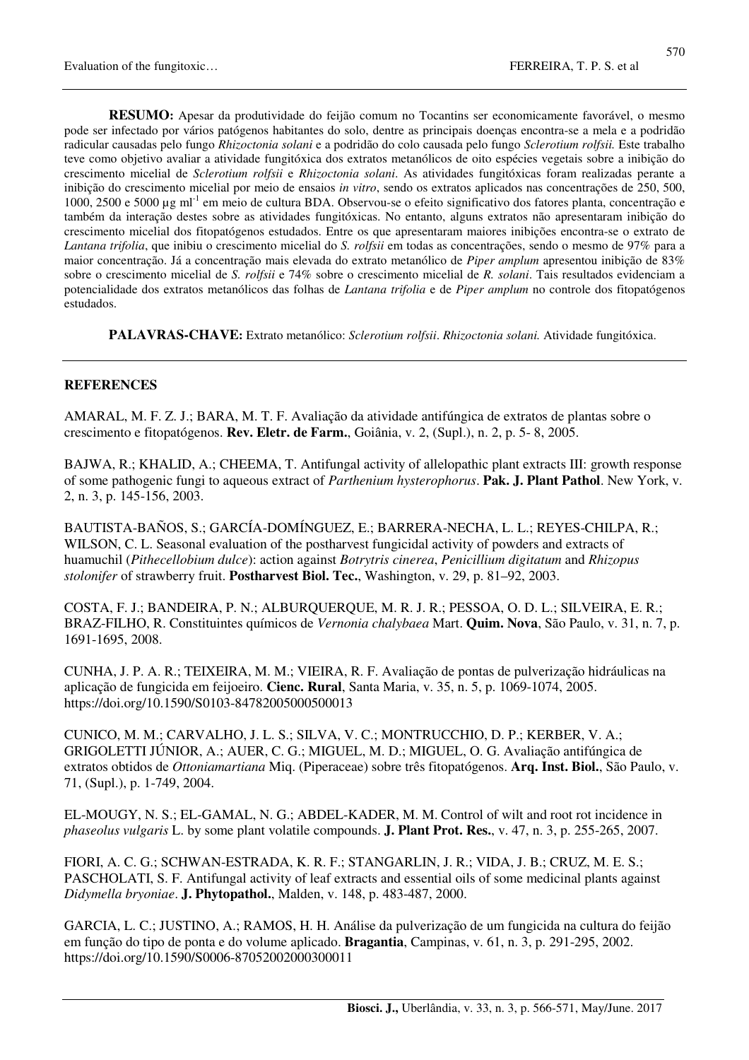**RESUMO:** Apesar da produtividade do feijão comum no Tocantins ser economicamente favorável, o mesmo pode ser infectado por vários patógenos habitantes do solo, dentre as principais doenças encontra-se a mela e a podridão radicular causadas pelo fungo *Rhizoctonia solani* e a podridão do colo causada pelo fungo *Sclerotium rolfsii.* Este trabalho teve como objetivo avaliar a atividade fungitóxica dos extratos metanólicos de oito espécies vegetais sobre a inibição do crescimento micelial de *Sclerotium rolfsii* e *Rhizoctonia solani*. As atividades fungitóxicas foram realizadas perante a inibição do crescimento micelial por meio de ensaios *in vitro*, sendo os extratos aplicados nas concentrações de 250, 500, 1000, 2500 e 5000 µg ml<sup>-1</sup> em meio de cultura BDA. Observou-se o efeito significativo dos fatores planta, concentração e também da interação destes sobre as atividades fungitóxicas. No entanto, alguns extratos não apresentaram inibição do crescimento micelial dos fitopatógenos estudados. Entre os que apresentaram maiores inibições encontra-se o extrato de *Lantana trifolia*, que inibiu o crescimento micelial do *S. rolfsii* em todas as concentrações, sendo o mesmo de 97% para a maior concentração. Já a concentração mais elevada do extrato metanólico de *Piper amplum* apresentou inibição de 83% sobre o crescimento micelial de *S. rolfsii* e 74% sobre o crescimento micelial de *R. solani*. Tais resultados evidenciam a potencialidade dos extratos metanólicos das folhas de *Lantana trifolia* e de *Piper amplum* no controle dos fitopatógenos estudados.

**PALAVRAS-CHAVE:** Extrato metanólico: *Sclerotium rolfsii*. *Rhizoctonia solani.* Atividade fungitóxica.

#### **REFERENCES**

AMARAL, M. F. Z. J.; BARA, M. T. F. Avaliação da atividade antifúngica de extratos de plantas sobre o crescimento e fitopatógenos. **Rev. Eletr. de Farm.**, Goiânia, v. 2, (Supl.), n. 2, p. 5- 8, 2005.

BAJWA, R.; KHALID, A.; CHEEMA, T. Antifungal activity of allelopathic plant extracts III: growth response of some pathogenic fungi to aqueous extract of *Parthenium hysterophorus*. **Pak. J. Plant Pathol**. New York, v. 2, n. 3, p. 145-156, 2003.

BAUTISTA-BAÑOS, S.; GARCÍA-DOMÍNGUEZ, E.; BARRERA-NECHA, L. L.; REYES-CHILPA, R.; WILSON, C. L. Seasonal evaluation of the postharvest fungicidal activity of powders and extracts of huamuchil (*Pithecellobium dulce*): action against *Botrytris cinerea*, *Penicillium digitatum* and *Rhizopus stolonifer* of strawberry fruit. **Postharvest Biol. Tec.**, Washington, v. 29, p. 81–92, 2003.

COSTA, F. J.; BANDEIRA, P. N.; ALBURQUERQUE, M. R. J. R.; PESSOA, O. D. L.; SILVEIRA, E. R.; BRAZ-FILHO, R. Constituintes químicos de *Vernonia chalybaea* Mart. **Quim. Nova**, São Paulo, v. 31, n. 7, p. 1691-1695, 2008.

CUNHA, J. P. A. R.; TEIXEIRA, M. M.; VIEIRA, R. F. Avaliação de pontas de pulverização hidráulicas na aplicação de fungicida em feijoeiro. **Cienc. Rural**, Santa Maria, v. 35, n. 5, p. 1069-1074, 2005. https://doi.org/10.1590/S0103-84782005000500013

CUNICO, M. M.; CARVALHO, J. L. S.; SILVA, V. C.; MONTRUCCHIO, D. P.; KERBER, V. A.; GRIGOLETTI JÚNIOR, A.; AUER, C. G.; MIGUEL, M. D.; MIGUEL, O. G. Avaliação antifúngica de extratos obtidos de *Ottoniamartiana* Miq. (Piperaceae) sobre três fitopatógenos. **Arq. Inst. Biol.**, São Paulo, v. 71, (Supl.), p. 1-749, 2004.

EL-MOUGY, N. S.; EL-GAMAL, N. G.; ABDEL-KADER, M. M. Control of wilt and root rot incidence in *phaseolus vulgaris* L. by some plant volatile compounds. **J. Plant Prot. Res.**, v. 47, n. 3, p. 255-265, 2007.

FIORI, A. C. G.; SCHWAN-ESTRADA, K. R. F.; STANGARLIN, J. R.; VIDA, J. B.; CRUZ, M. E. S.; PASCHOLATI, S. F. Antifungal activity of leaf extracts and essential oils of some medicinal plants against *Didymella bryoniae*. **J. Phytopathol.**, Malden, v. 148, p. 483-487, 2000.

GARCIA, L. C.; JUSTINO, A.; RAMOS, H. H. Análise da pulverização de um fungicida na cultura do feijão em função do tipo de ponta e do volume aplicado. **Bragantia**, Campinas, v. 61, n. 3, p. 291-295, 2002. https://doi.org/10.1590/S0006-87052002000300011